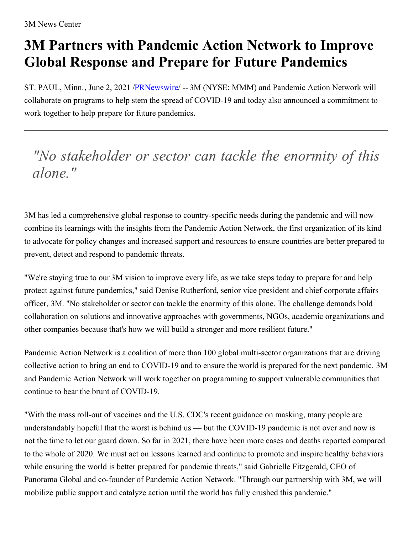## **3M Partners with Pandemic Action Network to Improve Global Response and Prepare for Future Pandemics**

ST. PAUL, Minn., June 2, 2021 [/PRNewswire](http://www.prnewswire.com/)/ -- 3M (NYSE: MMM) and Pandemic Action Network will collaborate on programs to help stem the spread of COVID-19 and today also announced a commitment to work together to help prepare for future pandemics.

*"No stakeholder or sector can tackle the enormity of this alone."*

3M has led a comprehensive global response to country-specific needs during the pandemic and will now combine its learnings with the insights from the Pandemic Action Network, the first organization of its kind to advocate for policy changes and increased support and resources to ensure countries are better prepared to prevent, detect and respond to pandemic threats.

"We're staying true to our 3M vision to improve every life, as we take steps today to prepare for and help protect against future pandemics," said Denise Rutherford, senior vice president and chief corporate affairs officer, 3M. "No stakeholder or sector can tackle the enormity of this alone. The challenge demands bold collaboration on solutions and innovative approaches with governments, NGOs, academic organizations and other companies because that's how we will build a stronger and more resilient future."

Pandemic Action Network is a coalition of more than 100 global multi-sector organizations that are driving collective action to bring an end to COVID-19 and to ensure the world is prepared for the next pandemic. 3M and Pandemic Action Network will work together on programming to support vulnerable communities that continue to bear the brunt of COVID-19.

"With the mass roll-out of vaccines and the U.S. CDC's recent guidance on masking, many people are understandably hopeful that the worst is behind us — but the COVID-19 pandemic is not over and now is not the time to let our guard down. So far in 2021, there have been more cases and deaths reported compared to the whole of 2020. We must act on lessons learned and continue to promote and inspire healthy behaviors while ensuring the world is better prepared for pandemic threats," said Gabrielle Fitzgerald, CEO of Panorama Global and co-founder of Pandemic Action Network. "Through our partnership with 3M, we will mobilize public support and catalyze action until the world has fully crushed this pandemic."